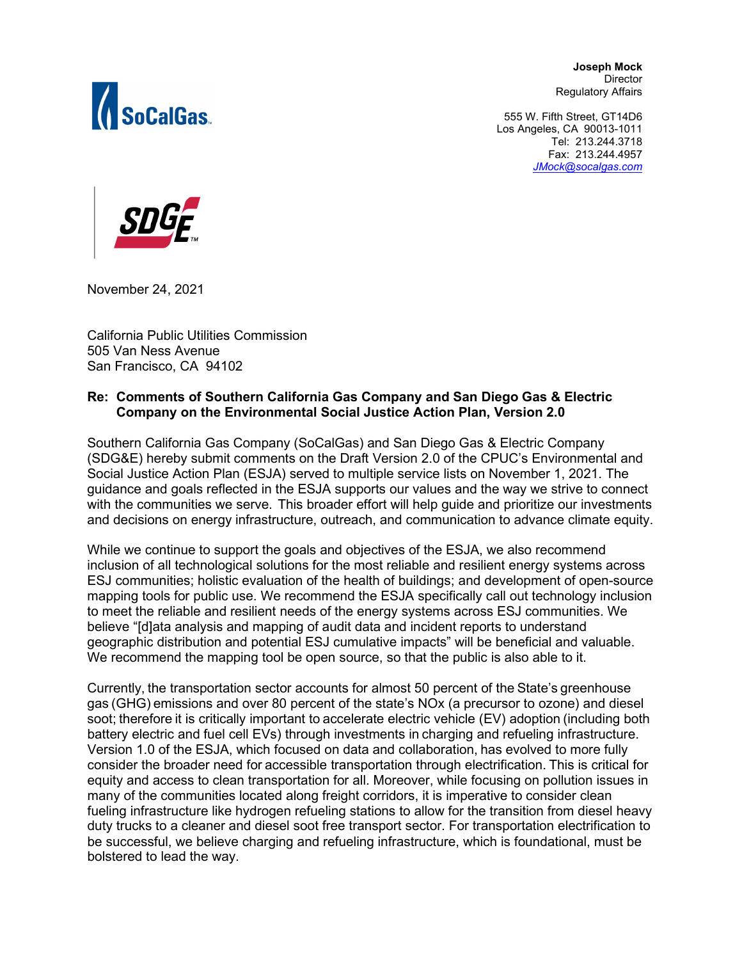

**Joseph Mock Director** Regulatory Affairs

 555 W. Fifth Street, GT14D6 Los Angeles, CA 90013-1011 Tel: 213.244.3718 Fax: 213.244.4957  *[JMock@socalgas.com](mailto:JMock@socalgas.com)*



November 24, 2021

California Public Utilities Commission 505 Van Ness Avenue San Francisco, CA 94102

## **Re: Comments of Southern California Gas Company and San Diego Gas & Electric Company on the Environmental Social Justice Action Plan, Version 2.0**

Southern California Gas Company (SoCalGas) and San Diego Gas & Electric Company (SDG&E) hereby submit comments on the Draft Version 2.0 of the CPUC's Environmental and Social Justice Action Plan (ESJA) served to multiple service lists on November 1, 2021. The guidance and goals reflected in the ESJA supports our values and the way we strive to connect with the communities we serve.  This broader effort will help guide and prioritize our investments and decisions on energy infrastructure, outreach, and communication to advance climate equity.

While we continue to support the goals and objectives of the ESJA, we also recommend inclusion of all technological solutions for the most reliable and resilient energy systems across ESJ communities; holistic evaluation of the health of buildings; and development of open-source mapping tools for public use. We recommend the ESJA specifically call out technology inclusion to meet the reliable and resilient needs of the energy systems across ESJ communities. We believe "[d]ata analysis and mapping of audit data and incident reports to understand geographic distribution and potential ESJ cumulative impacts" will be beneficial and valuable. We recommend the mapping tool be open source, so that the public is also able to it.

Currently, the transportation sector accounts for almost 50 percent of the State's greenhouse gas (GHG) emissions and over 80 percent of the state's NOx (a precursor to ozone) and diesel soot; therefore it is critically important to accelerate electric vehicle (EV) adoption (including both battery electric and fuel cell EVs) through investments in charging and refueling infrastructure. Version 1.0 of the ESJA, which focused on data and collaboration, has evolved to more fully consider the broader need for accessible transportation through electrification. This is critical for equity and access to clean transportation for all. Moreover, while focusing on pollution issues in many of the communities located along freight corridors, it is imperative to consider clean fueling infrastructure like hydrogen refueling stations to allow for the transition from diesel heavy duty trucks to a cleaner and diesel soot free transport sector. For transportation electrification to be successful, we believe charging and refueling infrastructure, which is foundational, must be bolstered to lead the way.